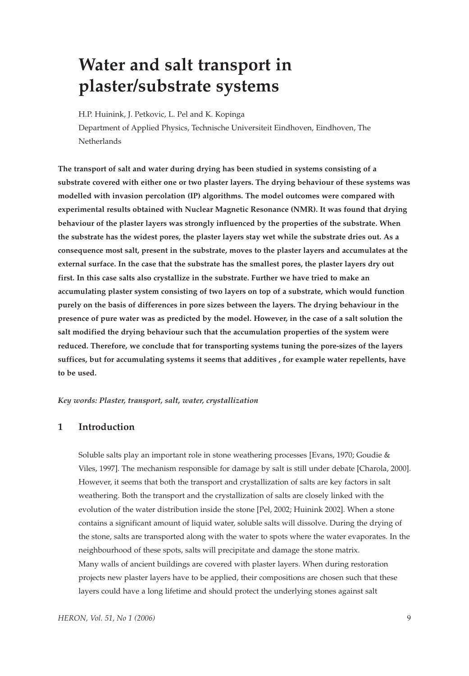# **Water and salt transport in plaster/substrate systems**

H.P. Huinink, J. Petkovic, L. Pel and K. Kopinga

Department of Applied Physics, Technische Universiteit Eindhoven, Eindhoven, The Netherlands

**The transport of salt and water during drying has been studied in systems consisting of a substrate covered with either one or two plaster layers. The drying behaviour of these systems was modelled with invasion percolation (IP) algorithms. The model outcomes were compared with experimental results obtained with Nuclear Magnetic Resonance (NMR). It was found that drying behaviour of the plaster layers was strongly influenced by the properties of the substrate. When the substrate has the widest pores, the plaster layers stay wet while the substrate dries out. As a consequence most salt, present in the substrate, moves to the plaster layers and accumulates at the external surface. In the case that the substrate has the smallest pores, the plaster layers dry out first. In this case salts also crystallize in the substrate. Further we have tried to make an accumulating plaster system consisting of two layers on top of a substrate, which would function purely on the basis of differences in pore sizes between the layers. The drying behaviour in the presence of pure water was as predicted by the model. However, in the case of a salt solution the salt modified the drying behaviour such that the accumulation properties of the system were reduced. Therefore, we conclude that for transporting systems tuning the pore-sizes of the layers suffices, but for accumulating systems it seems that additives , for example water repellents, have to be used.**

*Key words: Plaster, transport, salt, water, crystallization*

# **1 Introduction**

Soluble salts play an important role in stone weathering processes [Evans, 1970; Goudie & Viles, 1997]. The mechanism responsible for damage by salt is still under debate [Charola, 2000]. However, it seems that both the transport and crystallization of salts are key factors in salt weathering. Both the transport and the crystallization of salts are closely linked with the evolution of the water distribution inside the stone [Pel, 2002; Huinink 2002]. When a stone contains a significant amount of liquid water, soluble salts will dissolve. During the drying of the stone, salts are transported along with the water to spots where the water evaporates. In the neighbourhood of these spots, salts will precipitate and damage the stone matrix. Many walls of ancient buildings are covered with plaster layers. When during restoration projects new plaster layers have to be applied, their compositions are chosen such that these layers could have a long lifetime and should protect the underlying stones against salt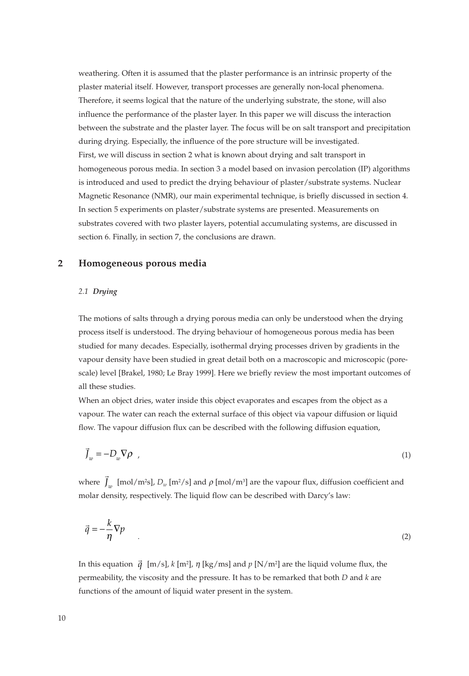weathering. Often it is assumed that the plaster performance is an intrinsic property of the plaster material itself. However, transport processes are generally non-local phenomena. Therefore, it seems logical that the nature of the underlying substrate, the stone, will also influence the performance of the plaster layer. In this paper we will discuss the interaction between the substrate and the plaster layer. The focus will be on salt transport and precipitation during drying. Especially, the influence of the pore structure will be investigated. First, we will discuss in section 2 what is known about drying and salt transport in homogeneous porous media. In section 3 a model based on invasion percolation (IP) algorithms is introduced and used to predict the drying behaviour of plaster/substrate systems. Nuclear Magnetic Resonance (NMR), our main experimental technique, is briefly discussed in section 4. In section 5 experiments on plaster/substrate systems are presented. Measurements on substrates covered with two plaster layers, potential accumulating systems, are discussed in section 6. Finally, in section 7, the conclusions are drawn.

# **2 Homogeneous porous media**

#### *2.1 Drying*

The motions of salts through a drying porous media can only be understood when the drying process itself is understood. The drying behaviour of homogeneous porous media has been studied for many decades. Especially, isothermal drying processes driven by gradients in the vapour density have been studied in great detail both on a macroscopic and microscopic (porescale) level [Brakel, 1980; Le Bray 1999]. Here we briefly review the most important outcomes of all these studies.

When an object dries, water inside this object evaporates and escapes from the object as a vapour. The water can reach the external surface of this object via vapour diffusion or liquid flow. The vapour diffusion flux can be described with the following diffusion equation,

$$
\vec{J}_w = -D_w \nabla \rho \tag{1}
$$

where  $\vec{J}_w$  [mol/m<sup>2</sup>s],  $D_w$  [m<sup>2</sup>/s] and  $\rho$  [mol/m<sup>3</sup>] are the vapour flux, diffusion coefficient and molar density, respectively. The liquid flow can be described with Darcy's law:

$$
\vec{q} = -\frac{k}{\eta} \nabla p \tag{2}
$$

In this equation  $\vec{q}$  [m/s],  $k$  [m<sup>2</sup>],  $\eta$  [kg/ms] and  $p$  [N/m<sup>2</sup>] are the liquid volume flux, the permeability, the viscosity and the pressure. It has to be remarked that both *D* and *k* are functions of the amount of liquid water present in the system. - *q*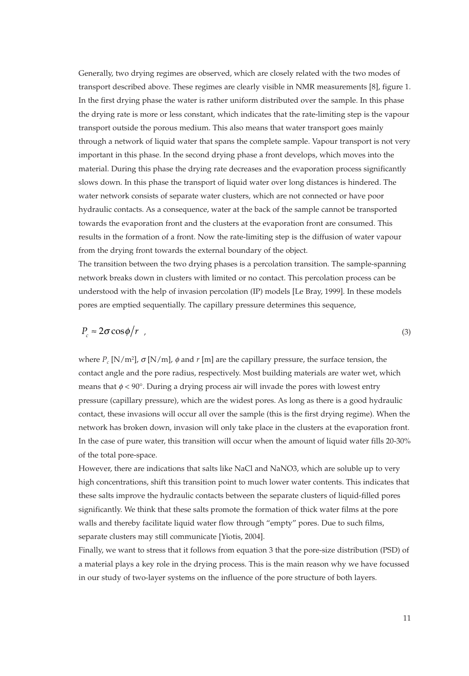Generally, two drying regimes are observed, which are closely related with the two modes of transport described above. These regimes are clearly visible in NMR measurements [8], figure 1. In the first drying phase the water is rather uniform distributed over the sample. In this phase the drying rate is more or less constant, which indicates that the rate-limiting step is the vapour transport outside the porous medium. This also means that water transport goes mainly through a network of liquid water that spans the complete sample. Vapour transport is not very important in this phase. In the second drying phase a front develops, which moves into the material. During this phase the drying rate decreases and the evaporation process significantly slows down. In this phase the transport of liquid water over long distances is hindered. The water network consists of separate water clusters, which are not connected or have poor hydraulic contacts. As a consequence, water at the back of the sample cannot be transported towards the evaporation front and the clusters at the evaporation front are consumed. This results in the formation of a front. Now the rate-limiting step is the diffusion of water vapour from the drying front towards the external boundary of the object.

The transition between the two drying phases is a percolation transition. The sample-spanning network breaks down in clusters with limited or no contact. This percolation process can be understood with the help of invasion percolation (IP) models [Le Bray, 1999]. In these models pores are emptied sequentially. The capillary pressure determines this sequence,

$$
P_c \approx 2\sigma \cos \phi / r \tag{3}
$$

where  $P_c$  [N/m<sup>2</sup>],  $\sigma$  [N/m],  $\phi$  and  $r$  [m] are the capillary pressure, the surface tension, the contact angle and the pore radius, respectively. Most building materials are water wet, which means that  $\phi < 90^\circ$ . During a drying process air will invade the pores with lowest entry pressure (capillary pressure), which are the widest pores. As long as there is a good hydraulic contact, these invasions will occur all over the sample (this is the first drying regime). When the network has broken down, invasion will only take place in the clusters at the evaporation front. In the case of pure water, this transition will occur when the amount of liquid water fills 20-30% of the total pore-space.

However, there are indications that salts like NaCl and NaNO3, which are soluble up to very high concentrations, shift this transition point to much lower water contents. This indicates that these salts improve the hydraulic contacts between the separate clusters of liquid-filled pores significantly. We think that these salts promote the formation of thick water films at the pore walls and thereby facilitate liquid water flow through "empty" pores. Due to such films, separate clusters may still communicate [Yiotis, 2004].

Finally, we want to stress that it follows from equation 3 that the pore-size distribution (PSD) of a material plays a key role in the drying process. This is the main reason why we have focussed in our study of two-layer systems on the influence of the pore structure of both layers.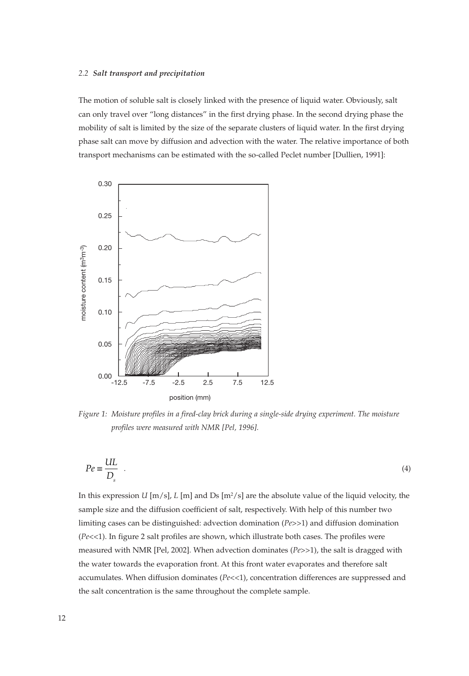#### *2.2 Salt transport and precipitation*

The motion of soluble salt is closely linked with the presence of liquid water. Obviously, salt can only travel over "long distances" in the first drying phase. In the second drying phase the mobility of salt is limited by the size of the separate clusters of liquid water. In the first drying phase salt can move by diffusion and advection with the water. The relative importance of both transport mechanisms can be estimated with the so-called Peclet number [Dullien, 1991]:



*Figure 1: Moisture profiles in a fired-clay brick during a single-side drying experiment. The moisture profiles were measured with NMR [Pel, 1996].*

$$
Pe \equiv \frac{UL}{D_s} \quad . \tag{4}
$$

In this expression *U* [m/s], *L* [m] and Ds [m<sup>2</sup>/s] are the absolute value of the liquid velocity, the sample size and the diffusion coefficient of salt, respectively. With help of this number two limiting cases can be distinguished: advection domination (*Pe*>>1) and diffusion domination (*Pe*<<1). In figure 2 salt profiles are shown, which illustrate both cases. The profiles were measured with NMR [Pel, 2002]. When advection dominates (*Pe*>>1), the salt is dragged with the water towards the evaporation front. At this front water evaporates and therefore salt accumulates. When diffusion dominates (Pe<<1), concentration differences are suppressed and the salt concentration is the same throughout the complete sample.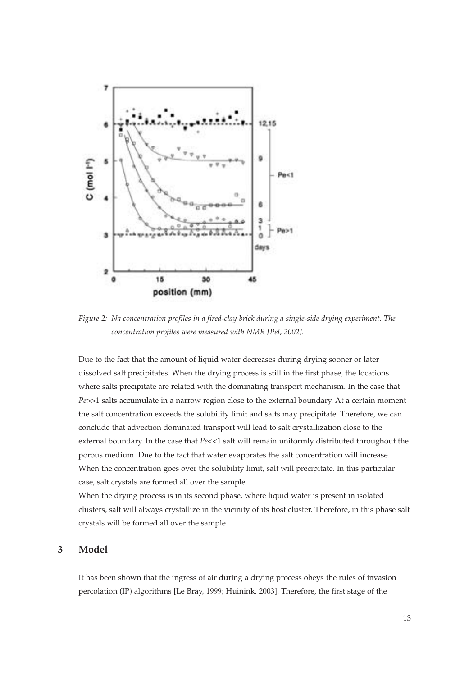

*Figure 2: Na concentration profiles in a fired-clay brick during a single-side drying experiment. The concentration profiles were measured with NMR [Pel, 2002].*

Due to the fact that the amount of liquid water decreases during drying sooner or later dissolved salt precipitates. When the drying process is still in the first phase, the locations where salts precipitate are related with the dominating transport mechanism. In the case that *Pe*>>1 salts accumulate in a narrow region close to the external boundary. At a certain moment the salt concentration exceeds the solubility limit and salts may precipitate. Therefore, we can conclude that advection dominated transport will lead to salt crystallization close to the external boundary. In the case that *Pe*<<1 salt will remain uniformly distributed throughout the porous medium. Due to the fact that water evaporates the salt concentration will increase. When the concentration goes over the solubility limit, salt will precipitate. In this particular case, salt crystals are formed all over the sample.

When the drying process is in its second phase, where liquid water is present in isolated clusters, salt will always crystallize in the vicinity of its host cluster. Therefore, in this phase salt crystals will be formed all over the sample.

# **3 Model**

It has been shown that the ingress of air during a drying process obeys the rules of invasion percolation (IP) algorithms [Le Bray, 1999; Huinink, 2003]. Therefore, the first stage of the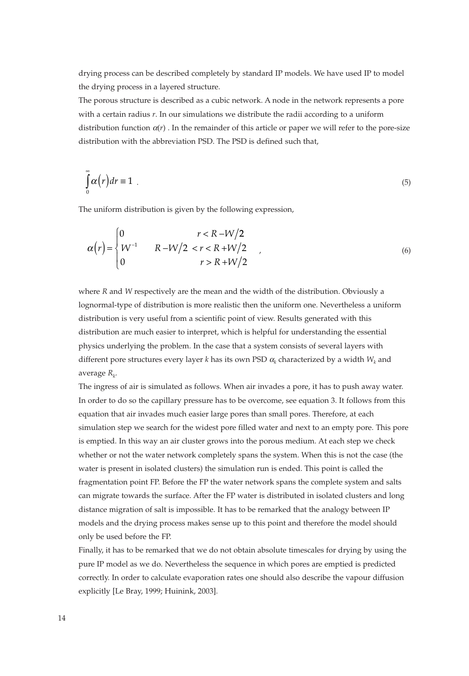drying process can be described completely by standard IP models. We have used IP to model the drying process in a layered structure.

The porous structure is described as a cubic network. A node in the network represents a pore with a certain radius *r*. In our simulations we distribute the radii according to a uniform distribution function  $\alpha(r)$ . In the remainder of this article or paper we will refer to the pore-size distribution with the abbreviation PSD. The PSD is defined such that,

$$
\int_{0}^{\infty} \alpha(r) dr = 1 \tag{5}
$$

The uniform distribution is given by the following expression,

$$
\alpha(r) = \begin{cases}\n0 & r < R - W/2 \\
W^{-1} & R - W/2 < r < R + W/2 \\
0 & r > R + W/2\n\end{cases}
$$
\n(6)

where *R* and *W* respectively are the mean and the width of the distribution. Obviously a lognormal-type of distribution is more realistic then the uniform one. Nevertheless a uniform distribution is very useful from a scientific point of view. Results generated with this distribution are much easier to interpret, which is helpful for understanding the essential physics underlying the problem. In the case that a system consists of several layers with different pore structures every layer *k* has its own PSD  $\alpha_k$  characterized by a width  $W_k$  and average  $R_k$ .

The ingress of air is simulated as follows. When air invades a pore, it has to push away water. In order to do so the capillary pressure has to be overcome, see equation 3. It follows from this equation that air invades much easier large pores than small pores. Therefore, at each simulation step we search for the widest pore filled water and next to an empty pore. This pore is emptied. In this way an air cluster grows into the porous medium. At each step we check whether or not the water network completely spans the system. When this is not the case (the water is present in isolated clusters) the simulation run is ended. This point is called the fragmentation point FP. Before the FP the water network spans the complete system and salts can migrate towards the surface. After the FP water is distributed in isolated clusters and long distance migration of salt is impossible. It has to be remarked that the analogy between IP models and the drying process makes sense up to this point and therefore the model should only be used before the FP.

Finally, it has to be remarked that we do not obtain absolute timescales for drying by using the pure IP model as we do. Nevertheless the sequence in which pores are emptied is predicted correctly. In order to calculate evaporation rates one should also describe the vapour diffusion explicitly [Le Bray, 1999; Huinink, 2003].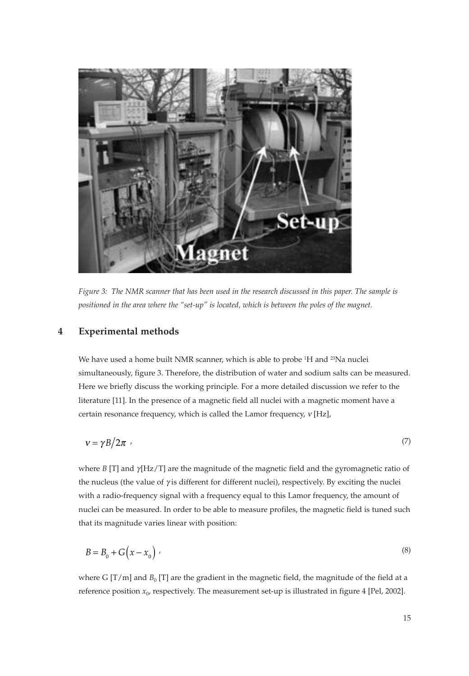

*Figure 3: The NMR scanner that has been used in the research discussed in this paper. The sample is positioned in the area where the "set-up" is located, which is between the poles of the magnet.*

## **4 Experimental methods**

We have used a home built NMR scanner, which is able to probe <sup>1</sup>H and <sup>23</sup>Na nuclei simultaneously, figure 3. Therefore, the distribution of water and sodium salts can be measured. Here we briefly discuss the working principle. For a more detailed discussion we refer to the literature [11]. In the presence of a magnetic field all nuclei with a magnetic moment have a certain resonance frequency, which is called the Lamor frequency, <sup>ν</sup> [Hz],

$$
v = \gamma B / 2\pi \tag{7}
$$

where *B* [T] and γ[Hz/T] are the magnitude of the magnetic field and the gyromagnetic ratio of the nucleus (the value of γ is different for different nuclei), respectively. By exciting the nuclei with a radio-frequency signal with a frequency equal to this Lamor frequency, the amount of nuclei can be measured. In order to be able to measure profiles, the magnetic field is tuned such that its magnitude varies linear with position:

$$
B = B_0 + G(x - x_0) \tag{8}
$$

where G  $[T/m]$  and  $B_0$  [T] are the gradient in the magnetic field, the magnitude of the field at a reference position  $x_0$ , respectively. The measurement set-up is illustrated in figure 4 [Pel, 2002].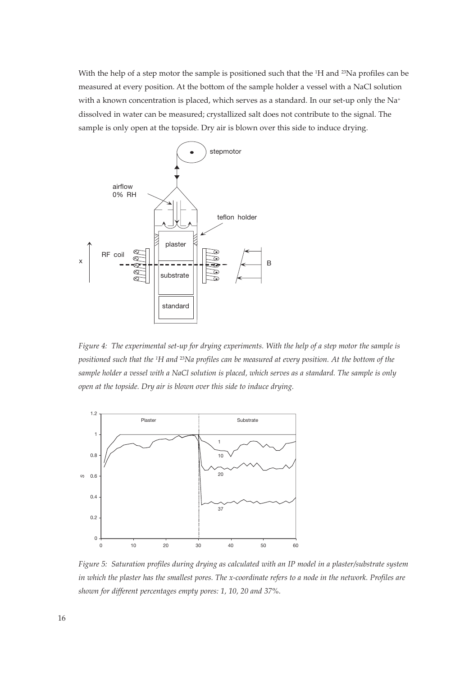With the help of a step motor the sample is positioned such that the <sup>1</sup>H and <sup>23</sup>Na profiles can be measured at every position. At the bottom of the sample holder a vessel with a NaCl solution with a known concentration is placed, which serves as a standard. In our set-up only the Na<sup>+</sup> dissolved in water can be measured; crystallized salt does not contribute to the signal. The sample is only open at the topside. Dry air is blown over this side to induce drying.



*Figure 4: The experimental set-up for drying experiments. With the help of a step motor the sample is positioned such that the 1H and* 23*Na profiles can be measured at every position. At the bottom of the sample holder a vessel with a NaCl solution is placed, which serves as a standard. The sample is only open at the topside. Dry air is blown over this side to induce drying.*



*Figure 5: Saturation profiles during drying as calculated with an IP model in a plaster/substrate system in which the plaster has the smallest pores. The x-coordinate refers to a node in the network. Profiles are shown for different percentages empty pores: 1, 10, 20 and 37%.*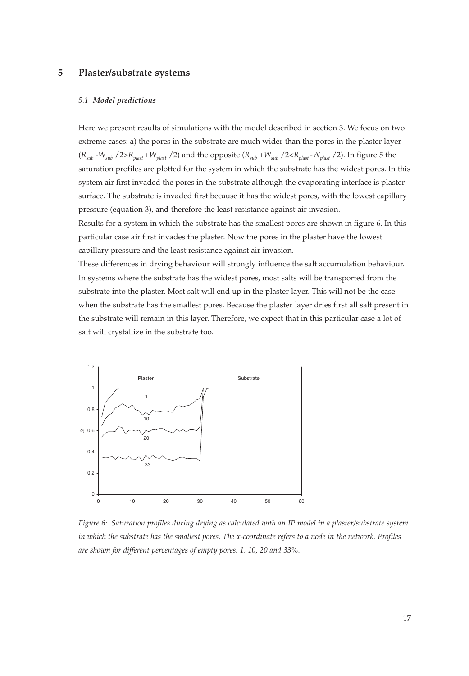## **5 Plaster/substrate systems**

#### *5.1 Model predictions*

Here we present results of simulations with the model described in section 3. We focus on two extreme cases: a) the pores in the substrate are much wider than the pores in the plaster layer  $(R_{sub} - W_{sub}/2 > R_{plast} + W_{plast}/2)$  and the opposite  $(R_{sub} + W_{sub}/2 < R_{plast} - W_{plast}/2)$ . In figure 5 the saturation profiles are plotted for the system in which the substrate has the widest pores. In this system air first invaded the pores in the substrate although the evaporating interface is plaster surface. The substrate is invaded first because it has the widest pores, with the lowest capillary pressure (equation 3), and therefore the least resistance against air invasion. Results for a system in which the substrate has the smallest pores are shown in figure 6. In this particular case air first invades the plaster. Now the pores in the plaster have the lowest capillary pressure and the least resistance against air invasion.

These differences in drying behaviour will strongly influence the salt accumulation behaviour. In systems where the substrate has the widest pores, most salts will be transported from the substrate into the plaster. Most salt will end up in the plaster layer. This will not be the case when the substrate has the smallest pores. Because the plaster layer dries first all salt present in the substrate will remain in this layer. Therefore, we expect that in this particular case a lot of salt will crystallize in the substrate too.



*Figure 6: Saturation profiles during drying as calculated with an IP model in a plaster/substrate system in which the substrate has the smallest pores. The x-coordinate refers to a node in the network. Profiles are shown for different percentages of empty pores: 1, 10, 20 and 33%.*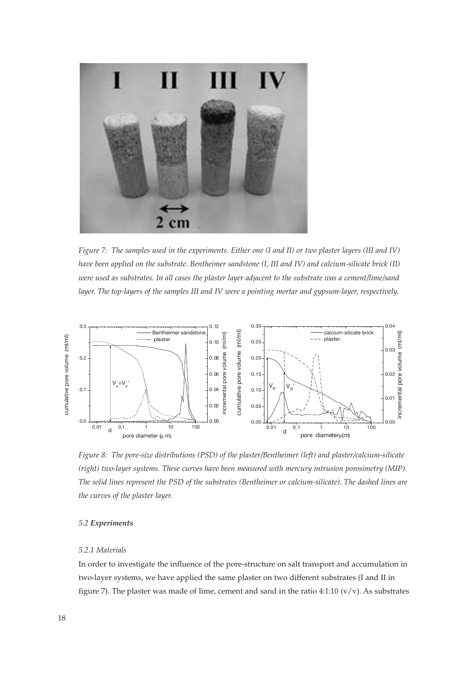

*Figure 7: The samples used in the experiments. Either one (I and II) or two plaster layers (III and IV) have been applied on the substrate. Bentheimer sandstone (I, III and IV) and calcium-silicate brick (II) were used as substrates. In all cases the plaster layer adjacent to the substrate was a cement/lime/sand* layer. The top-layers of the samples III and IV were a pointing mortar and gypsum-layer, respectively.



*Figure 8: The pore-size distributions (PSD) of the plaster/Bentheimer (left) and plaster/calcium-silicate (right) two-layer systems. These curves have been measured with mercury intrusion porosimetry (MIP). The solid lines represent the PSD of the substrates (Bentheimer or calcium-silicate). The dashed lines are the curves of the plaster layer.*

#### *5.2 Experiments*

## *5.2.1 Materials*

In order to investigate the influence of the pore-structure on salt transport and accumulation in two-layer systems, we have applied the same plaster on two different substrates (I and II in figure 7). The plaster was made of lime, cement and sand in the ratio 4:1:10  $(v/v)$ . As substrates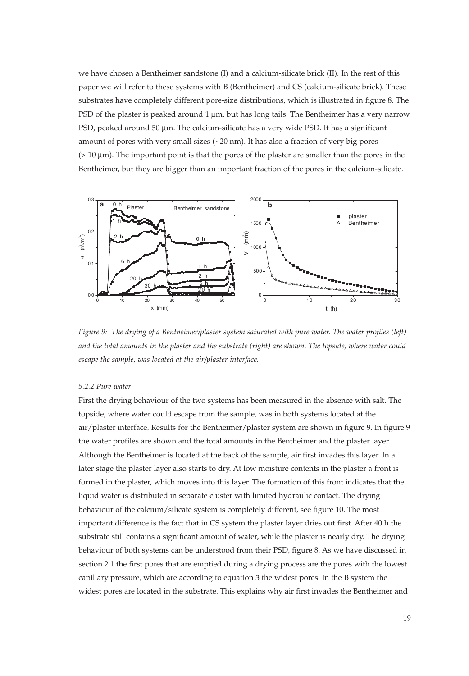we have chosen a Bentheimer sandstone (I) and a calcium-silicate brick (II). In the rest of this paper we will refer to these systems with B (Bentheimer) and CS (calcium-silicate brick). These substrates have completely different pore-size distributions, which is illustrated in figure 8. The PSD of the plaster is peaked around 1 μm, but has long tails. The Bentheimer has a very narrow PSD, peaked around 50 μm. The calcium-silicate has a very wide PSD. It has a significant amount of pores with very small sizes  $(\sim 20 \text{ nm})$ . It has also a fraction of very big pores (> 10 μm). The important point is that the pores of the plaster are smaller than the pores in the Bentheimer, but they are bigger than an important fraction of the pores in the calcium-silicate.



*Figure 9: The drying of a Bentheimer/plaster system saturated with pure water. The water profiles (left) and the total amounts in the plaster and the substrate (right) are shown. The topside, where water could escape the sample, was located at the air/plaster interface.*

# *5.2.2 Pure water*

First the drying behaviour of the two systems has been measured in the absence with salt. The topside, where water could escape from the sample, was in both systems located at the air/plaster interface. Results for the Bentheimer/plaster system are shown in figure 9. In figure 9 the water profiles are shown and the total amounts in the Bentheimer and the plaster layer. Although the Bentheimer is located at the back of the sample, air first invades this layer. In a later stage the plaster layer also starts to dry. At low moisture contents in the plaster a front is formed in the plaster, which moves into this layer. The formation of this front indicates that the liquid water is distributed in separate cluster with limited hydraulic contact. The drying behaviour of the calcium/silicate system is completely different, see figure 10. The most important difference is the fact that in CS system the plaster layer dries out first. After 40 h the substrate still contains a significant amount of water, while the plaster is nearly dry. The drying behaviour of both systems can be understood from their PSD, figure 8. As we have discussed in section 2.1 the first pores that are emptied during a drying process are the pores with the lowest capillary pressure, which are according to equation 3 the widest pores. In the B system the widest pores are located in the substrate. This explains why air first invades the Bentheimer and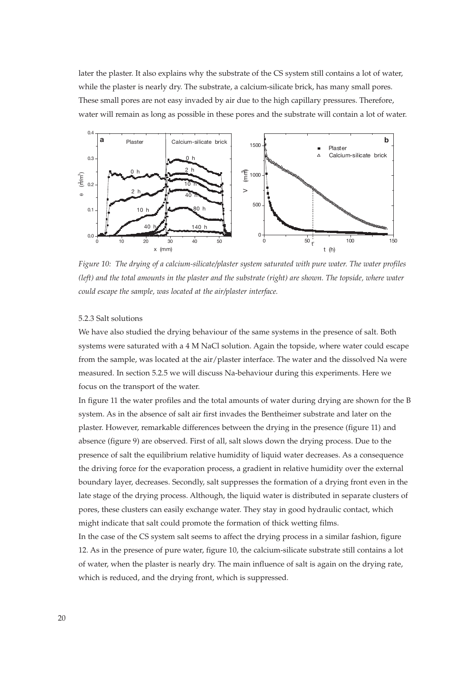later the plaster. It also explains why the substrate of the CS system still contains a lot of water, while the plaster is nearly dry. The substrate, a calcium-silicate brick, has many small pores. These small pores are not easy invaded by air due to the high capillary pressures. Therefore, water will remain as long as possible in these pores and the substrate will contain a lot of water.



*Figure 10: The drying of a calcium-silicate/plaster system saturated with pure water. The water profiles (left) and the total amounts in the plaster and the substrate (right) are shown. The topside, where water could escape the sample, was located at the air/plaster interface.*

## 5.2.3 Salt solutions

We have also studied the drying behaviour of the same systems in the presence of salt. Both systems were saturated with a 4 M NaCl solution. Again the topside, where water could escape from the sample, was located at the air/plaster interface. The water and the dissolved Na were measured. In section 5.2.5 we will discuss Na-behaviour during this experiments. Here we focus on the transport of the water.

In figure 11 the water profiles and the total amounts of water during drying are shown for the B system. As in the absence of salt air first invades the Bentheimer substrate and later on the plaster. However, remarkable differences between the drying in the presence (figure 11) and absence (figure 9) are observed. First of all, salt slows down the drying process. Due to the presence of salt the equilibrium relative humidity of liquid water decreases. As a consequence the driving force for the evaporation process, a gradient in relative humidity over the external boundary layer, decreases. Secondly, salt suppresses the formation of a drying front even in the late stage of the drying process. Although, the liquid water is distributed in separate clusters of pores, these clusters can easily exchange water. They stay in good hydraulic contact, which might indicate that salt could promote the formation of thick wetting films.

In the case of the CS system salt seems to affect the drying process in a similar fashion, figure 12. As in the presence of pure water, figure 10, the calcium-silicate substrate still contains a lot of water, when the plaster is nearly dry. The main influence of salt is again on the drying rate, which is reduced, and the drying front, which is suppressed.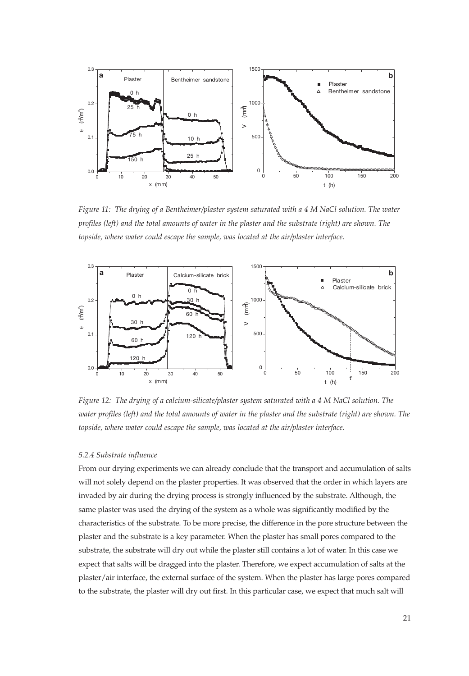

*Figure 11: The drying of a Bentheimer/plaster system saturated with a 4 M NaCl solution. The water profiles (left) and the total amounts of water in the plaster and the substrate (right) are shown. The topside, where water could escape the sample, was located at the air/plaster interface.*



*Figure 12: The drying of a calcium-silicate/plaster system saturated with a 4 M NaCl solution. The water profiles (left) and the total amounts of water in the plaster and the substrate (right) are shown. The topside, where water could escape the sample, was located at the air/plaster interface.*

#### *5.2.4 Substrate influence*

From our drying experiments we can already conclude that the transport and accumulation of salts will not solely depend on the plaster properties. It was observed that the order in which layers are invaded by air during the drying process is strongly influenced by the substrate. Although, the same plaster was used the drying of the system as a whole was significantly modified by the characteristics of the substrate. To be more precise, the difference in the pore structure between the plaster and the substrate is a key parameter. When the plaster has small pores compared to the substrate, the substrate will dry out while the plaster still contains a lot of water. In this case we expect that salts will be dragged into the plaster. Therefore, we expect accumulation of salts at the plaster/air interface, the external surface of the system. When the plaster has large pores compared to the substrate, the plaster will dry out first. In this particular case, we expect that much salt will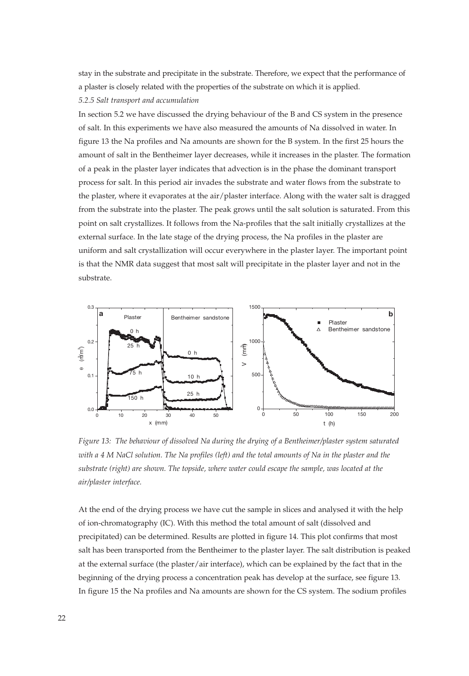stay in the substrate and precipitate in the substrate. Therefore, we expect that the performance of a plaster is closely related with the properties of the substrate on which it is applied. *5.2.5 Salt transport and accumulation*

In section 5.2 we have discussed the drying behaviour of the B and CS system in the presence of salt. In this experiments we have also measured the amounts of Na dissolved in water. In figure 13 the Na profiles and Na amounts are shown for the B system. In the first 25 hours the amount of salt in the Bentheimer layer decreases, while it increases in the plaster. The formation of a peak in the plaster layer indicates that advection is in the phase the dominant transport process for salt. In this period air invades the substrate and water flows from the substrate to the plaster, where it evaporates at the air/plaster interface. Along with the water salt is dragged from the substrate into the plaster. The peak grows until the salt solution is saturated. From this point on salt crystallizes. It follows from the Na-profiles that the salt initially crystallizes at the external surface. In the late stage of the drying process, the Na profiles in the plaster are uniform and salt crystallization will occur everywhere in the plaster layer. The important point is that the NMR data suggest that most salt will precipitate in the plaster layer and not in the substrate.



*Figure 13: The behaviour of dissolved Na during the drying of a Bentheimer/plaster system saturated with a 4 M NaCl solution. The Na profiles (left) and the total amounts of Na in the plaster and the substrate (right) are shown. The topside, where water could escape the sample, was located at the air/plaster interface.*

At the end of the drying process we have cut the sample in slices and analysed it with the help of ion-chromatography (IC). With this method the total amount of salt (dissolved and precipitated) can be determined. Results are plotted in figure 14. This plot confirms that most salt has been transported from the Bentheimer to the plaster layer. The salt distribution is peaked at the external surface (the plaster/air interface), which can be explained by the fact that in the beginning of the drying process a concentration peak has develop at the surface, see figure 13. In figure 15 the Na profiles and Na amounts are shown for the CS system. The sodium profiles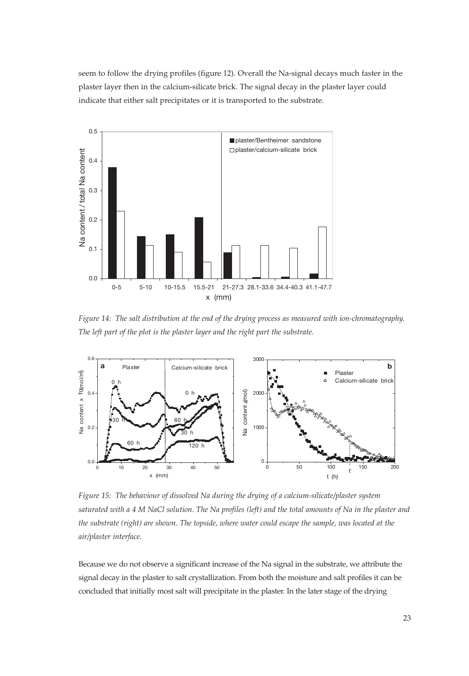seem to follow the drying profiles (figure 12). Overall the Na-signal decays much faster in the plaster layer then in the calcium-silicate brick. The signal decay in the plaster layer could indicate that either salt precipitates or it is transported to the substrate.



*Figure 14: The salt distribution at the end of the drying process as measured with ion-chromatography. The left part of the plot is the plaster layer and the right part the substrate.*



*Figure 15: The behaviour of dissolved Na during the drying of a calcium-silicate/plaster system saturated with a 4 M NaCl solution. The Na profiles (left) and the total amounts of Na in the plaster and the substrate (right) are shown. The topside, where water could escape the sample, was located at the air/plaster interface.*

Because we do not observe a significant increase of the Na signal in the substrate, we attribute the signal decay in the plaster to salt crystallization. From both the moisture and salt profiles it can be concluded that initially most salt will precipitate in the plaster. In the later stage of the drying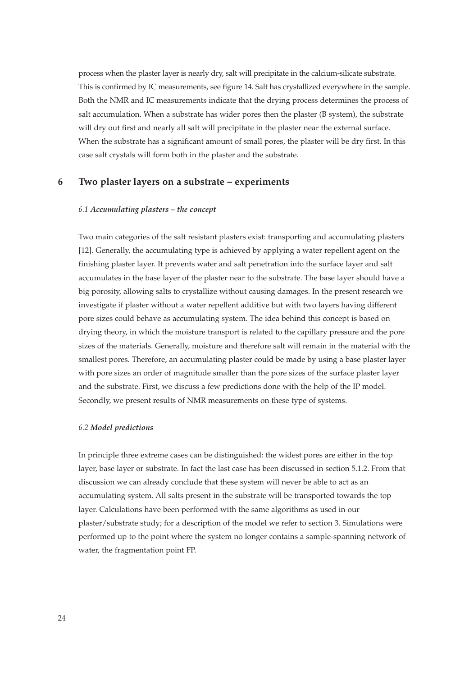process when the plaster layer is nearly dry, salt will precipitate in the calcium-silicate substrate. This is confirmed by IC measurements, see figure 14. Salt has crystallized everywhere in the sample. Both the NMR and IC measurements indicate that the drying process determines the process of salt accumulation. When a substrate has wider pores then the plaster (B system), the substrate will dry out first and nearly all salt will precipitate in the plaster near the external surface. When the substrate has a significant amount of small pores, the plaster will be dry first. In this case salt crystals will form both in the plaster and the substrate.

# **6 Two plaster layers on a substrate – experiments**

#### *6.1 Accumulating plasters – the concept*

Two main categories of the salt resistant plasters exist: transporting and accumulating plasters [12]. Generally, the accumulating type is achieved by applying a water repellent agent on the finishing plaster layer. It prevents water and salt penetration into the surface layer and salt accumulates in the base layer of the plaster near to the substrate. The base layer should have a big porosity, allowing salts to crystallize without causing damages. In the present research we investigate if plaster without a water repellent additive but with two layers having different pore sizes could behave as accumulating system. The idea behind this concept is based on drying theory, in which the moisture transport is related to the capillary pressure and the pore sizes of the materials. Generally, moisture and therefore salt will remain in the material with the smallest pores. Therefore, an accumulating plaster could be made by using a base plaster layer with pore sizes an order of magnitude smaller than the pore sizes of the surface plaster layer and the substrate. First, we discuss a few predictions done with the help of the IP model. Secondly, we present results of NMR measurements on these type of systems.

#### *6.2 Model predictions*

In principle three extreme cases can be distinguished: the widest pores are either in the top layer, base layer or substrate. In fact the last case has been discussed in section 5.1.2. From that discussion we can already conclude that these system will never be able to act as an accumulating system. All salts present in the substrate will be transported towards the top layer. Calculations have been performed with the same algorithms as used in our plaster/substrate study; for a description of the model we refer to section 3. Simulations were performed up to the point where the system no longer contains a sample-spanning network of water, the fragmentation point FP.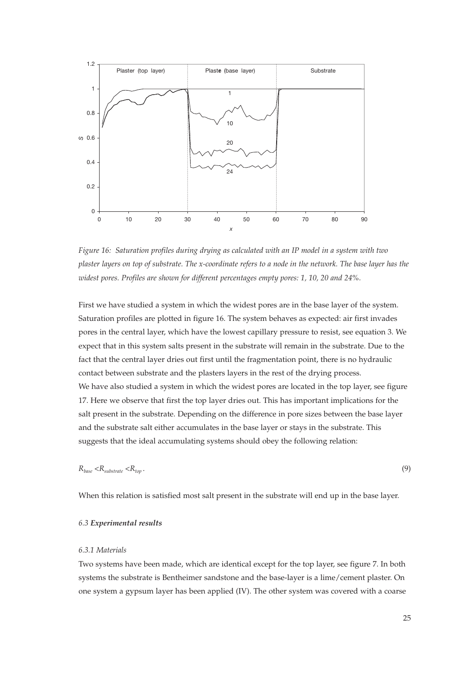

*Figure 16: Saturation profiles during drying as calculated with an IP model in a system with two plaster layers on top of substrate. The x-coordinate refers to a node in the network. The base layer has the widest pores. Profiles are shown for different percentages empty pores: 1, 10, 20 and 24%.*

First we have studied a system in which the widest pores are in the base layer of the system. Saturation profiles are plotted in figure 16. The system behaves as expected: air first invades pores in the central layer, which have the lowest capillary pressure to resist, see equation 3. We expect that in this system salts present in the substrate will remain in the substrate. Due to the fact that the central layer dries out first until the fragmentation point, there is no hydraulic contact between substrate and the plasters layers in the rest of the drying process. We have also studied a system in which the widest pores are located in the top layer, see figure 17. Here we observe that first the top layer dries out. This has important implications for the salt present in the substrate. Depending on the difference in pore sizes between the base layer and the substrate salt either accumulates in the base layer or stays in the substrate. This suggests that the ideal accumulating systems should obey the following relation:

$$
R_{base} < R_{substate} < R_{top} \tag{9}
$$

When this relation is satisfied most salt present in the substrate will end up in the base layer.

#### *6.3 Experimental results*

#### *6.3.1 Materials*

Two systems have been made, which are identical except for the top layer, see figure 7. In both systems the substrate is Bentheimer sandstone and the base-layer is a lime/cement plaster. On one system a gypsum layer has been applied (IV). The other system was covered with a coarse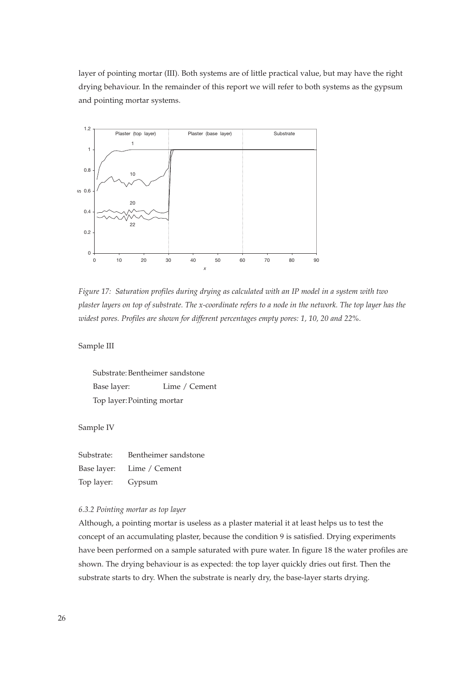layer of pointing mortar (III). Both systems are of little practical value, but may have the right drying behaviour. In the remainder of this report we will refer to both systems as the gypsum and pointing mortar systems.



*Figure 17: Saturation profiles during drying as calculated with an IP model in a system with two plaster layers on top of substrate. The x-coordinate refers to a node in the network. The top layer has the widest pores. Profiles are shown for different percentages empty pores: 1, 10, 20 and 22%.*

Sample III

Substrate: Bentheimer sandstone Base layer: Lime / Cement Top layer:Pointing mortar

Sample IV

Substrate: Bentheimer sandstone Base layer: Lime / Cement Top layer: Gypsum

#### *6.3.2 Pointing mortar as top layer*

Although, a pointing mortar is useless as a plaster material it at least helps us to test the concept of an accumulating plaster, because the condition 9 is satisfied. Drying experiments have been performed on a sample saturated with pure water. In figure 18 the water profiles are shown. The drying behaviour is as expected: the top layer quickly dries out first. Then the substrate starts to dry. When the substrate is nearly dry, the base-layer starts drying.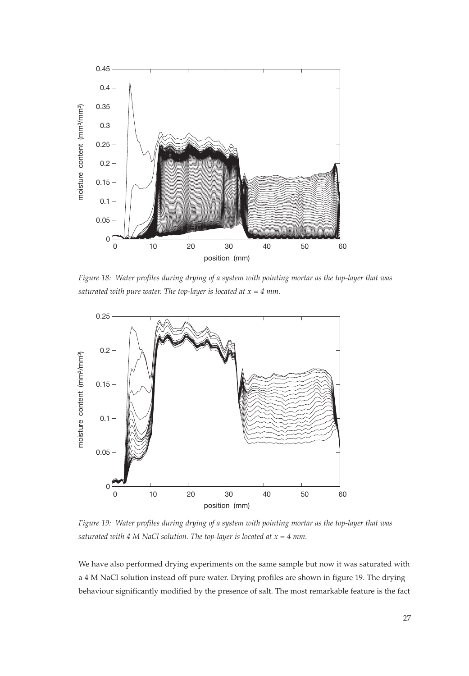

*Figure 18: Water profiles during drying of a system with pointing mortar as the top-layer that was saturated with pure water. The top-layer is located at x = 4 mm.*



*Figure 19: Water profiles during drying of a system with pointing mortar as the top-layer that was saturated with 4 M NaCl solution. The top-layer is located at x = 4 mm.*

We have also performed drying experiments on the same sample but now it was saturated with a 4 M NaCl solution instead off pure water. Drying profiles are shown in figure 19. The drying behaviour significantly modified by the presence of salt. The most remarkable feature is the fact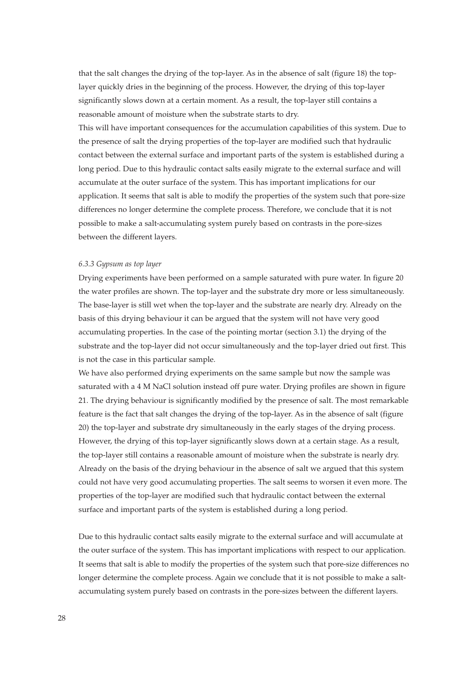that the salt changes the drying of the top-layer. As in the absence of salt (figure 18) the toplayer quickly dries in the beginning of the process. However, the drying of this top-layer significantly slows down at a certain moment. As a result, the top-layer still contains a reasonable amount of moisture when the substrate starts to dry.

This will have important consequences for the accumulation capabilities of this system. Due to the presence of salt the drying properties of the top-layer are modified such that hydraulic contact between the external surface and important parts of the system is established during a long period. Due to this hydraulic contact salts easily migrate to the external surface and will accumulate at the outer surface of the system. This has important implications for our application. It seems that salt is able to modify the properties of the system such that pore-size differences no longer determine the complete process. Therefore, we conclude that it is not possible to make a salt-accumulating system purely based on contrasts in the pore-sizes between the different layers.

## *6.3.3 Gypsum as top layer*

Drying experiments have been performed on a sample saturated with pure water. In figure 20 the water profiles are shown. The top-layer and the substrate dry more or less simultaneously. The base-layer is still wet when the top-layer and the substrate are nearly dry. Already on the basis of this drying behaviour it can be argued that the system will not have very good accumulating properties. In the case of the pointing mortar (section 3.1) the drying of the substrate and the top-layer did not occur simultaneously and the top-layer dried out first. This is not the case in this particular sample.

We have also performed drying experiments on the same sample but now the sample was saturated with a 4 M NaCl solution instead off pure water. Drying profiles are shown in figure 21. The drying behaviour is significantly modified by the presence of salt. The most remarkable feature is the fact that salt changes the drying of the top-layer. As in the absence of salt (figure 20) the top-layer and substrate dry simultaneously in the early stages of the drying process. However, the drying of this top-layer significantly slows down at a certain stage. As a result, the top-layer still contains a reasonable amount of moisture when the substrate is nearly dry. Already on the basis of the drying behaviour in the absence of salt we argued that this system could not have very good accumulating properties. The salt seems to worsen it even more. The properties of the top-layer are modified such that hydraulic contact between the external surface and important parts of the system is established during a long period.

Due to this hydraulic contact salts easily migrate to the external surface and will accumulate at the outer surface of the system. This has important implications with respect to our application. It seems that salt is able to modify the properties of the system such that pore-size differences no longer determine the complete process. Again we conclude that it is not possible to make a saltaccumulating system purely based on contrasts in the pore-sizes between the different layers.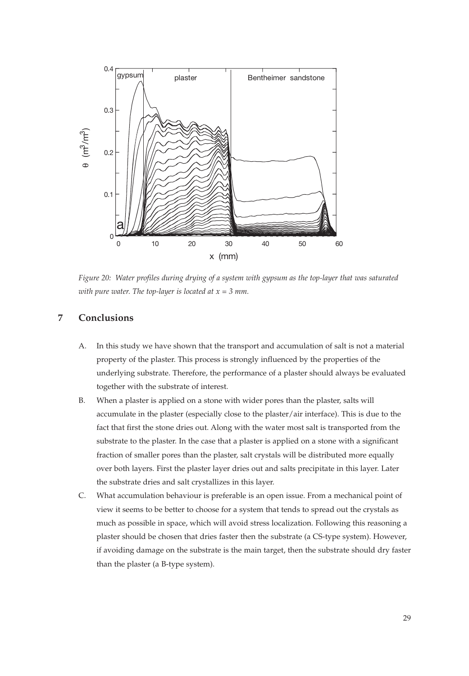

*Figure 20: Water profiles during drying of a system with gypsum as the top-layer that was saturated with pure water. The top-layer is located at x = 3 mm.*

# **7 Conclusions**

- A. In this study we have shown that the transport and accumulation of salt is not a material property of the plaster. This process is strongly influenced by the properties of the underlying substrate. Therefore, the performance of a plaster should always be evaluated together with the substrate of interest.
- B. When a plaster is applied on a stone with wider pores than the plaster, salts will accumulate in the plaster (especially close to the plaster/air interface). This is due to the fact that first the stone dries out. Along with the water most salt is transported from the substrate to the plaster. In the case that a plaster is applied on a stone with a significant fraction of smaller pores than the plaster, salt crystals will be distributed more equally over both layers. First the plaster layer dries out and salts precipitate in this layer. Later the substrate dries and salt crystallizes in this layer.
- C. What accumulation behaviour is preferable is an open issue. From a mechanical point of view it seems to be better to choose for a system that tends to spread out the crystals as much as possible in space, which will avoid stress localization. Following this reasoning a plaster should be chosen that dries faster then the substrate (a CS-type system). However, if avoiding damage on the substrate is the main target, then the substrate should dry faster than the plaster (a B-type system).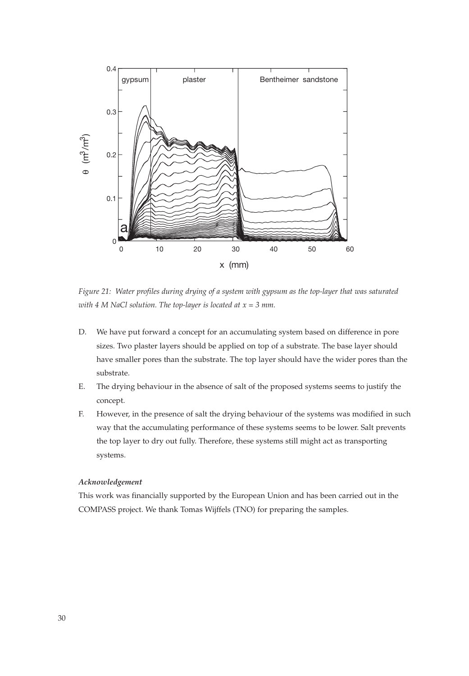

*Figure 21: Water profiles during drying of a system with gypsum as the top-layer that was saturated with 4 M NaCl solution. The top-layer is located at x = 3 mm.*

- D. We have put forward a concept for an accumulating system based on difference in pore sizes. Two plaster layers should be applied on top of a substrate. The base layer should have smaller pores than the substrate. The top layer should have the wider pores than the substrate.
- E. The drying behaviour in the absence of salt of the proposed systems seems to justify the concept.
- F. However, in the presence of salt the drying behaviour of the systems was modified in such way that the accumulating performance of these systems seems to be lower. Salt prevents the top layer to dry out fully. Therefore, these systems still might act as transporting systems.

## *Acknowledgement*

This work was financially supported by the European Union and has been carried out in the COMPASS project. We thank Tomas Wijffels (TNO) for preparing the samples.